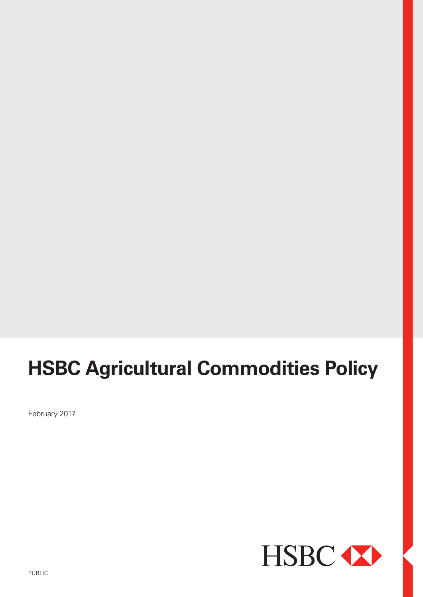# **HSBC Agricultural Commodities Policy**

February 2017

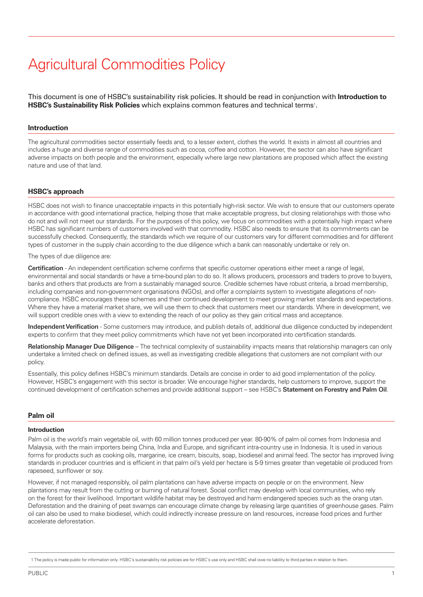## Agricultural Commodities Policy

This document is one of HSBC's sustainability risk policies. It should be read in conjunction with **Introduction to HSBC's Sustainability Risk Policies** which explains common features and technical terms<sup>1</sup>.

#### **Introduction**

The agricultural commodities sector essentially feeds and, to a lesser extent, clothes the world. It exists in almost all countries and includes a huge and diverse range of commodities such as cocoa, coffee and cotton. However, the sector can also have significant adverse impacts on both people and the environment, especially where large new plantations are proposed which affect the existing nature and use of that land.

#### **HSBC's approach**

HSBC does not wish to finance unacceptable impacts in this potentially high-risk sector. We wish to ensure that our customers operate in accordance with good international practice, helping those that make acceptable progress, but closing relationships with those who do not and will not meet our standards. For the purposes of this policy, we focus on commodities with a potentially high impact where HSBC has significant numbers of customers involved with that commodity. HSBC also needs to ensure that its commitments can be successfully checked. Consequently, the standards which we require of our customers vary for different commodities and for different types of customer in the supply chain according to the due diligence which a bank can reasonably undertake or rely on.

The types of due diligence are:

**Certification** - An independent certification scheme confirms that specific customer operations either meet a range of legal, environmental and social standards or have a time-bound plan to do so. It allows producers, processors and traders to prove to buyers, banks and others that products are from a sustainably managed source. Credible schemes have robust criteria, a broad membership, including companies and non-government organisations (NGOs), and offer a complaints system to investigate allegations of noncompliance. HSBC encourages these schemes and their continued development to meet growing market standards and expectations. Where they have a material market share, we will use them to check that customers meet our standards. Where in development, we will support credible ones with a view to extending the reach of our policy as they gain critical mass and acceptance.

**Independent Verification** - Some customers may introduce, and publish details of, additional due diligence conducted by independent experts to confirm that they meet policy commitments which have not yet been incorporated into certification standards.

**Relationship Manager Due Diligence** – The technical complexity of sustainability impacts means that relationship managers can only undertake a limited check on defined issues, as well as investigating credible allegations that customers are not compliant with our policy.

Essentially, this policy defines HSBC's minimum standards. Details are concise in order to aid good implementation of the policy. However, HSBC's engagement with this sector is broader. We encourage higher standards, help customers to improve, support the continued development of certification schemes and provide additional support – see HSBC's **Statement on Forestry and Palm Oil**.

#### **Palm oil**

#### **Introduction**

Palm oil is the world's main vegetable oil, with 60 million tonnes produced per year. 80-90% of palm oil comes from Indonesia and Malaysia, with the main importers being China, India and Europe, and significant intra-country use in Indonesia. It is used in various forms for products such as cooking oils, margarine, ice cream, biscuits, soap, biodiesel and animal feed. The sector has improved living standards in producer countries and is efficient in that palm oil's yield per hectare is 5-9 times greater than vegetable oil produced from rapeseed, sunflower or soy.

However, if not managed responsibly, oil palm plantations can have adverse impacts on people or on the environment. New plantations may result from the cutting or burning of natural forest. Social conflict may develop with local communities, who rely on the forest for their livelihood. Important wildlife habitat may be destroyed and harm endangered species such as the orang utan. Deforestation and the draining of peat swamps can encourage climate change by releasing large quantities of greenhouse gases. Palm oil can also be used to make biodiesel, which could indirectly increase pressure on land resources, increase food prices and further accelerate deforestation.

<sup>1</sup> The policy is made public for information only. HSBC's sustainability risk policies are for HSBC's use only and HSBC shall owe no liability to third parties in relation to them.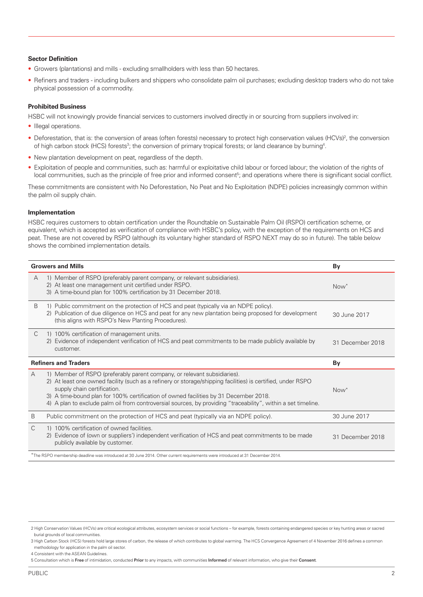#### **Sector Definition**

- Growers (plantations) and mills excluding smallholders with less than 50 hectares.
- Refiners and traders including bulkers and shippers who consolidate palm oil purchases; excluding desktop traders who do not take physical possession of a commodity.

#### **Prohibited Business**

HSBC will not knowingly provide financial services to customers involved directly in or sourcing from suppliers involved in:

- Illegal operations.
- Deforestation, that is: the conversion of areas (often forests) necessary to protect high conservation values (HCVs)<sup>2</sup>, the conversion of high carbon stock (HCS) forests<sup>3</sup>; the conversion of primary tropical forests; or land clearance by burning<sup>4</sup>.
- New plantation development on peat, regardless of the depth.
- Exploitation of people and communities, such as: harmful or exploitative child labour or forced labour; the violation of the rights of local communities, such as the principle of free prior and informed consent<sup>5</sup>; and operations where there is significant social conflict.

These commitments are consistent with No Deforestation, No Peat and No Exploitation (NDPE) policies increasingly common within the palm oil supply chain.

#### **Implementation**

HSBC requires customers to obtain certification under the Roundtable on Sustainable Palm Oil (RSPO) certification scheme, or equivalent, which is accepted as verification of compliance with HSBC's policy, with the exception of the requirements on HCS and peat. These are not covered by RSPO (although its voluntary higher standard of RSPO NEXT may do so in future). The table below shows the combined implementation details.

| <b>Growers and Mills</b>    |                                                                                                                                                                                                                                                                                                                                                                                                                                 | By               |
|-----------------------------|---------------------------------------------------------------------------------------------------------------------------------------------------------------------------------------------------------------------------------------------------------------------------------------------------------------------------------------------------------------------------------------------------------------------------------|------------------|
| A                           | 1) Member of RSPO (preferably parent company, or relevant subsidiaries).<br>2) At least one management unit certified under RSPO.<br>3) A time-bound plan for 100% certification by 31 December 2018.                                                                                                                                                                                                                           | $Now^*$          |
| B                           | 1) Public commitment on the protection of HCS and peat (typically via an NDPE policy).<br>2) Publication of due diligence on HCS and peat for any new plantation being proposed for development<br>(this aligns with RSPO's New Planting Procedures).                                                                                                                                                                           | 30 June 2017     |
| C                           | 1) 100% certification of management units.<br>Evidence of independent verification of HCS and peat commitments to be made publicly available by<br>2)<br>customer.                                                                                                                                                                                                                                                              | 31 December 2018 |
| <b>Refiners and Traders</b> |                                                                                                                                                                                                                                                                                                                                                                                                                                 | By               |
| A                           |                                                                                                                                                                                                                                                                                                                                                                                                                                 |                  |
|                             | 1) Member of RSPO (preferably parent company, or relevant subsidiaries).<br>2) At least one owned facility (such as a refinery or storage/shipping facilities) is certified, under RSPO<br>supply chain certification.<br>3) A time-bound plan for 100% certification of owned facilities by 31 December 2018.<br>4) A plan to exclude palm oil from controversial sources, by providing "traceability", within a set timeline. | Now <sup>*</sup> |
| B                           | Public commitment on the protection of HCS and peat (typically via an NDPE policy).                                                                                                                                                                                                                                                                                                                                             | 30 June 2017     |
| C                           | 1) 100% certification of owned facilities.<br>Evidence of (own or suppliers') independent verification of HCS and peat commitments to be made<br>2)<br>publicly available by customer.                                                                                                                                                                                                                                          | 31 December 2018 |

<sup>2</sup> High Conservation Values (HCVs) are critical ecological attributes, ecosystem services or social functions – for example, forests containing endangered species or key hunting areas or sacred burial grounds of local communities.

<sup>3</sup> High Carbon Stock (HCS) forests hold large stores of carbon, the release of which contributes to global warming. The HCS Convergence Agreement of 4 November 2016 defines a common methodology for application in the palm oil sector.

<sup>4</sup> Consistent with the ASEAN Guidelines.

<sup>5</sup> Consultation which is **Free** of intimidation, conducted **Prior** to any impacts, with communities **Informed** of relevant information, who give their **Consent**.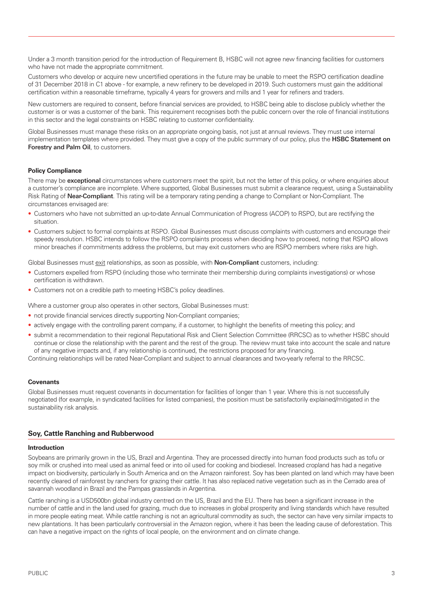Under a 3 month transition period for the introduction of Requirement B, HSBC will not agree new financing facilities for customers who have not made the appropriate commitment.

Customers who develop or acquire new uncertified operations in the future may be unable to meet the RSPO certification deadline of 31 December 2018 in C1 above - for example, a new refinery to be developed in 2019. Such customers must gain the additional certification within a reasonable timeframe, typically 4 years for growers and mills and 1 year for refiners and traders.

New customers are required to consent, before financial services are provided, to HSBC being able to disclose publicly whether the customer is or was a customer of the bank. This requirement recognises both the public concern over the role of financial institutions in this sector and the legal constraints on HSBC relating to customer confidentiality.

Global Businesses must manage these risks on an appropriate ongoing basis, not just at annual reviews. They must use internal implementation templates where provided. They must give a copy of the public summary of our policy, plus the **HSBC Statement on Forestry and Palm Oil**, to customers.

#### **Policy Compliance**

There may be **exceptional** circumstances where customers meet the spirit, but not the letter of this policy, or where enquiries about a customer's compliance are incomplete. Where supported, Global Businesses must submit a clearance request, using a Sustainability Risk Rating of **Near-Compliant**. This rating will be a temporary rating pending a change to Compliant or Non-Compliant. The circumstances envisaged are:

- Customers who have not submitted an up-to-date Annual Communication of Progress (ACOP) to RSPO, but are rectifying the situation.
- Customers subject to formal complaints at RSPO. Global Businesses must discuss complaints with customers and encourage their speedy resolution. HSBC intends to follow the RSPO complaints process when deciding how to proceed, noting that RSPO allows minor breaches if commitments address the problems, but may exit customers who are RSPO members where risks are high.

Global Businesses must exit relationships, as soon as possible, with **Non-Compliant** customers, including:

- Customers expelled from RSPO (including those who terminate their membership during complaints investigations) or whose certification is withdrawn.
- Customers not on a credible path to meeting HSBC's policy deadlines.

Where a customer group also operates in other sectors, Global Businesses must:

- not provide financial services directly supporting Non-Compliant companies;
- actively engage with the controlling parent company, if a customer, to highlight the benefits of meeting this policy; and
- submit a recommendation to their regional Reputational Risk and Client Selection Committee (RRCSC) as to whether HSBC should continue or close the relationship with the parent and the rest of the group. The review must take into account the scale and nature of any negative impacts and, if any relationship is continued, the restrictions proposed for any financing.

Continuing relationships will be rated Near-Compliant and subject to annual clearances and two-yearly referral to the RRCSC.

#### **Covenants**

Global Businesses must request covenants in documentation for facilities of longer than 1 year. Where this is not successfully negotiated (for example, in syndicated facilities for listed companies), the position must be satisfactorily explained/mitigated in the sustainability risk analysis.

### **Soy, Cattle Ranching and Rubberwood**

#### **Introduction**

Soybeans are primarily grown in the US, Brazil and Argentina. They are processed directly into human food products such as tofu or soy milk or crushed into meal used as animal feed or into oil used for cooking and biodiesel. Increased cropland has had a negative impact on biodiversity, particularly in South America and on the Amazon rainforest. Soy has been planted on land which may have been recently cleared of rainforest by ranchers for grazing their cattle. It has also replaced native vegetation such as in the Cerrado area of savannah woodland in Brazil and the Pampas grasslands in Argentina.

Cattle ranching is a USD500bn global industry centred on the US, Brazil and the EU. There has been a significant increase in the number of cattle and in the land used for grazing, much due to increases in global prosperity and living standards which have resulted in more people eating meat. While cattle ranching is not an agricultural commodity as such, the sector can have very similar impacts to new plantations. It has been particularly controversial in the Amazon region, where it has been the leading cause of deforestation. This can have a negative impact on the rights of local people, on the environment and on climate change.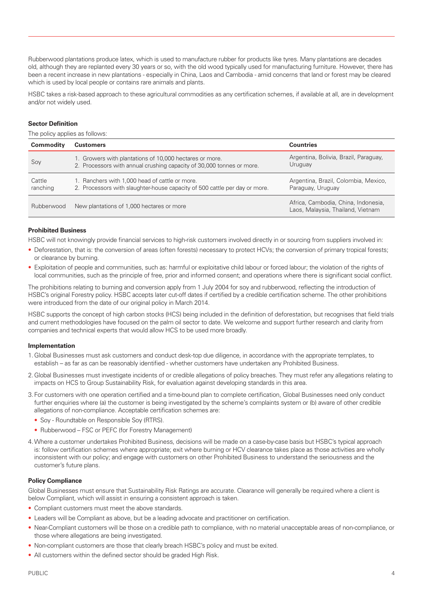Rubberwood plantations produce latex, which is used to manufacture rubber for products like tyres. Many plantations are decades old, although they are replanted every 30 years or so, with the old wood typically used for manufacturing furniture. However, there has been a recent increase in new plantations - especially in China, Laos and Cambodia - amid concerns that land or forest may be cleared which is used by local people or contains rare animals and plants.

HSBC takes a risk-based approach to these agricultural commodities as any certification schemes, if available at all, are in development and/or not widely used.

#### **Sector Definition**

The policy applies as follows:

| Commodity          | <b>Customers</b>                                                                                                                 | <b>Countries</b>                                                         |
|--------------------|----------------------------------------------------------------------------------------------------------------------------------|--------------------------------------------------------------------------|
| Soy                | 1. Growers with plantations of 10,000 hectares or more.<br>2. Processors with annual crushing capacity of 30,000 tonnes or more. | Argentina, Bolivia, Brazil, Paraguay,<br>Uruguay                         |
| Cattle<br>ranching | 1. Ranchers with 1,000 head of cattle or more.<br>2. Processors with slaughter-house capacity of 500 cattle per day or more.     | Argentina, Brazil, Colombia, Mexico,<br>Paraguay, Uruguay                |
| Rubberwood         | New plantations of 1,000 hectares or more                                                                                        | Africa, Cambodia, China, Indonesia,<br>Laos, Malaysia, Thailand, Vietnam |

### **Prohibited Business**

HSBC will not knowingly provide financial services to high-risk customers involved directly in or sourcing from suppliers involved in:

- Deforestation, that is: the conversion of areas (often forests) necessary to protect HCVs; the conversion of primary tropical forests; or clearance by burning.
- Exploitation of people and communities, such as: harmful or exploitative child labour or forced labour; the violation of the rights of local communities, such as the principle of free, prior and informed consent; and operations where there is significant social conflict.

The prohibitions relating to burning and conversion apply from 1 July 2004 for soy and rubberwood, reflecting the introduction of HSBC's original Forestry policy. HSBC accepts later cut-off dates if certified by a credible certification scheme. The other prohibitions were introduced from the date of our original policy in March 2014.

HSBC supports the concept of high carbon stocks (HCS) being included in the definition of deforestation, but recognises that field trials and current methodologies have focused on the palm oil sector to date. We welcome and support further research and clarity from companies and technical experts that would allow HCS to be used more broadly.

#### **Implementation**

- 1.Global Businesses must ask customers and conduct desk-top due diligence, in accordance with the appropriate templates, to establish – as far as can be reasonably identified - whether customers have undertaken any Prohibited Business.
- 2.Global Businesses must investigate incidents of or credible allegations of policy breaches. They must refer any allegations relating to impacts on HCS to Group Sustainability Risk, for evaluation against developing standards in this area.
- 3.For customers with one operation certified and a time-bound plan to complete certification, Global Businesses need only conduct further enquiries where (a) the customer is being investigated by the scheme's complaints system or (b) aware of other credible allegations of non-compliance. Acceptable certification schemes are:
	- Soy Roundtable on Responsible Soy (RTRS).
	- Rubberwood FSC or PEFC (for Forestry Management)
- 4.Where a customer undertakes Prohibited Business, decisions will be made on a case-by-case basis but HSBC's typical approach is: follow certification schemes where appropriate; exit where burning or HCV clearance takes place as those activities are wholly inconsistent with our policy; and engage with customers on other Prohibited Business to understand the seriousness and the customer's future plans.

#### **Policy Compliance**

Global Businesses must ensure that Sustainability Risk Ratings are accurate. Clearance will generally be required where a client is below Compliant, which will assist in ensuring a consistent approach is taken.

- Compliant customers must meet the above standards.
- Leaders will be Compliant as above, but be a leading advocate and practitioner on certification.
- Near-Compliant customers will be those on a credible path to compliance, with no material unacceptable areas of non-compliance, or those where allegations are being investigated.
- Non-compliant customers are those that clearly breach HSBC's policy and must be exited.
- All customers within the defined sector should be graded High Risk.